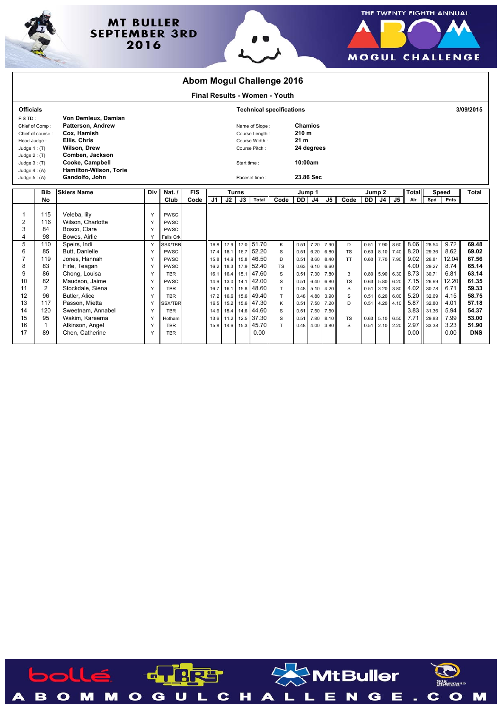

## **MT BULLER SEPTEMBER 3RD** 2016





| <b>Abom Mogul Challenge 2016</b>                                                |                        |                                                                                                |                                 |                                                        |            |                |              |                                                                    |                          |                               |                                                                     |                |              |                |              |                  |                   |              |                |               |                |
|---------------------------------------------------------------------------------|------------------------|------------------------------------------------------------------------------------------------|---------------------------------|--------------------------------------------------------|------------|----------------|--------------|--------------------------------------------------------------------|--------------------------|-------------------------------|---------------------------------------------------------------------|----------------|--------------|----------------|--------------|------------------|-------------------|--------------|----------------|---------------|----------------|
|                                                                                 |                        |                                                                                                |                                 |                                                        |            |                |              |                                                                    |                          | Final Results - Women - Youth |                                                                     |                |              |                |              |                  |                   |              |                |               |                |
| <b>Officials</b>                                                                |                        |                                                                                                | <b>Technical specifications</b> |                                                        |            |                |              |                                                                    |                          |                               |                                                                     |                |              |                |              |                  |                   |              | 3/09/2015      |               |                |
| FIS TD:<br>Chief of Comp:<br>Chief of course :<br>Head Judge:<br>Judge $1:$ (T) |                        | Von Demleux, Damian<br>Patterson, Andrew<br>Cox. Hamish<br>Ellis, Chris<br><b>Wilson, Drew</b> |                                 |                                                        |            |                |              | Name of Slope:<br>Course Length:<br>Course Width:<br>Course Pitch: |                          |                               | <b>Chamios</b><br>210 <sub>m</sub><br>21 <sub>m</sub><br>24 degrees |                |              |                |              |                  |                   |              |                |               |                |
| Judge $2: (T)$<br>Judge $3:$ (T)<br>Judge $4: (A)$<br>Judge $5: (A)$            |                        | Comben, Jackson<br>Cooke, Campbell<br>Hamilton-Wilson, Torie<br>Gandolfo, John                 |                                 |                                                        |            |                |              | Start time:<br>Paceset time:                                       |                          |                               | 10:00am<br>23.86 Sec                                                |                |              |                |              |                  |                   |              |                |               |                |
|                                                                                 | <b>Bib</b>             | <b>Skiers Name</b>                                                                             | Div                             | Nat. $/$                                               | <b>FIS</b> |                | <b>Turns</b> |                                                                    |                          |                               | Jump 1                                                              |                |              |                | Jump 2       |                  |                   | <b>Total</b> |                | <b>Speed</b>  | <b>Total</b>   |
|                                                                                 | No                     |                                                                                                |                                 | Club                                                   | Code       | J <sub>1</sub> | J2           | J3                                                                 | Total                    | Code                          | <b>DD</b>                                                           | J <sub>4</sub> | J5 II        | Code           | DD I         | J4               | J5                | Air          | Spd            | Pnts          |                |
| 1<br>2<br>3<br>4                                                                | 115<br>116<br>84<br>98 | Veleba, lily<br>Wilson, Charlotte<br>Bosco, Clare<br>Bowes, Airlie                             | Y<br>Y<br>Y<br>Y                | <b>PWSC</b><br><b>PWSC</b><br><b>PWSC</b><br>Falls Crk |            |                |              |                                                                    |                          |                               |                                                                     |                |              |                |              |                  |                   |              |                |               |                |
| 5                                                                               | 110                    | Speirs, Indi                                                                                   | Y                               | SSX/TBR                                                |            | 16.8           | 17.9         |                                                                    | 17.0 51.70               | Κ                             | 0.51                                                                | 7.20           | 7.90         | D              | 0.51         | 7.90             | 8.60              | 8.06         | 28.54          | 9.72          | 69.48          |
| 6                                                                               | 85                     | Butt. Danielle                                                                                 | Y                               | <b>PWSC</b>                                            |            | 17.4           | 18.1         |                                                                    | 16.7 52.20               | S                             | 0.51                                                                | 6.20           | 6.80         | <b>TS</b>      | 0.63         |                  | 8.10 7.40         | 8.20         | 29.36          | 8.62          | 69.02          |
| 7                                                                               | 119                    | Jones, Hannah                                                                                  | Y                               | <b>PWSC</b>                                            |            | 15.8           | 14.9         |                                                                    | 15.8 46.50               | D                             | 0.51                                                                | 8.60           | 8.40         | <b>TT</b>      | 0.60         |                  | 7.70 7.90         | 9.02         | 26.81          | 12.04         | 67.56          |
| 8                                                                               | 83                     | Firle, Teagan                                                                                  | Y                               | PWSC                                                   |            | 16.2           | 18.3         |                                                                    | 17.9 52.40               | <b>TS</b>                     | 0.63                                                                | 6.10           | 6.60         |                |              |                  |                   | 4.00         | 29.27          | 8.74          | 65.14          |
| 9<br>10                                                                         | 86<br>82               | Chong, Louisa<br>Maudson, Jaime                                                                | Υ                               | <b>TBR</b><br>PWSC                                     |            | 16.7           | 16.4         |                                                                    | 15.1 47.60<br>14.1 42.00 | S                             | 0.51<br>0.51                                                        | 7.30           | 7.80         | 3              | 0.80<br>0.63 | 5.80             | 5.90 6.30         | 8.73<br>7.15 | 30.71<br>26.69 | 6.81<br>12.20 | 63.14<br>61.35 |
| 11                                                                              | $\overline{2}$         | Stockdale, Siena                                                                               | Y<br>Y                          | <b>TBR</b>                                             |            | 14.9<br>16.7   | 13.0<br>16.1 |                                                                    | 15.8 48.60               | S<br>T.                       | 0.48                                                                | 6.40<br>5.10   | 6.80<br>4.20 | <b>TS</b><br>S | 0.51         |                  | 6.20<br>3.20 3.80 | 4.02         | 30.78          | 6.71          | 59.33          |
| 12                                                                              | 96                     | Butler, Alice                                                                                  | Y                               | <b>TBR</b>                                             |            | 17.2           | 16.6         |                                                                    | 15.6 49.40               | T.                            | 0.48                                                                | 4.80           | 3.90         | S              | 0.51         | 6.20             | 6.00              | 5.20         | 32.69          | 4.15          | 58.75          |
| 13                                                                              | 117                    | Passon, Mietta                                                                                 | Y                               | <b>SSX/TBR</b>                                         |            | 16.5           | 15.2         |                                                                    | 15.6 47.30               | K                             | 0.51                                                                | 7.50           | 7.20         | D              | 0.51         |                  | 4.20 4.10         | 5.87         | 32.80          | 4.01          | 57.18          |
| 14                                                                              | 120                    | Sweetnam, Annabel                                                                              | Y                               | <b>TBR</b>                                             |            | 14.6           | 15.4         |                                                                    | 14.6 44.60               | s                             | 0.51                                                                | 7.50           | 7.50         |                |              |                  |                   | 3.83         | 31.36          | 5.94          | 54.37          |
| 15                                                                              | 95                     | Wakim, Kareema                                                                                 | Y                               | Hotham                                                 |            | 13.6           | 11.2         |                                                                    | 12.5 37.30               | S                             | 0.51                                                                | 7.80           | 8.10         | <b>TS</b>      |              | 0.63 5.10 6.50   |                   | 7.71         | 29.83          | 7.99          | 53.00          |
| 16                                                                              | 1                      | Atkinson, Angel                                                                                | Y                               | <b>TBR</b>                                             |            | 15.8           | 14.6         |                                                                    | 15.3 45.70               | T.                            | 0.48                                                                | 4.00           | 3.80         | S              |              | $0.51$ 2.10 2.20 |                   | 2.97         | 33.38          | 3.23          | 51.90          |
| 17                                                                              | 89                     | Chen. Catherine                                                                                | Y                               | <b>TBR</b>                                             |            |                |              |                                                                    | 0.00                     |                               |                                                                     |                |              |                |              |                  |                   | 0.00         |                | 0.00          | <b>DNS</b>     |

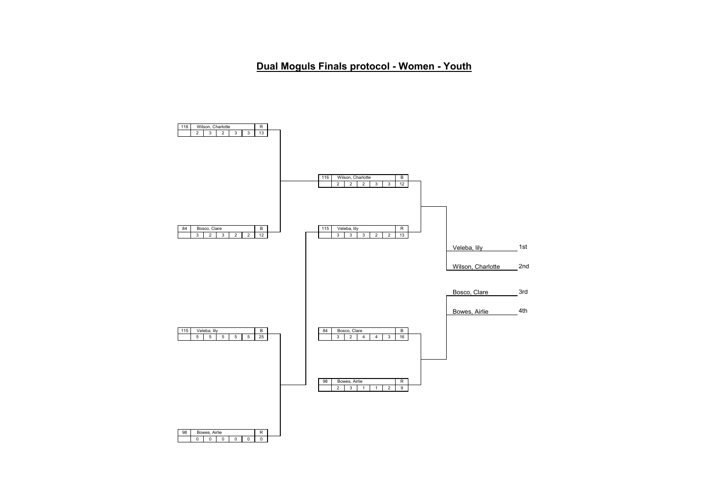**Dual Moguls Finals protocol - Women - Youth**